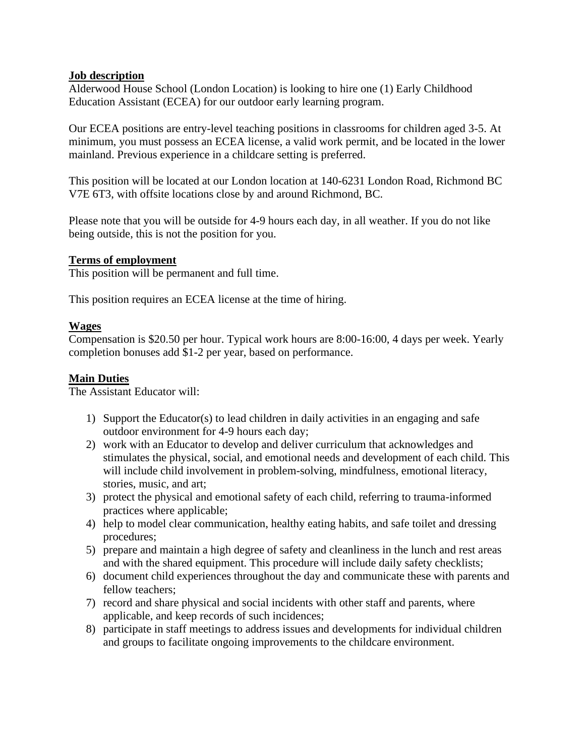### **Job description**

Alderwood House School (London Location) is looking to hire one (1) Early Childhood Education Assistant (ECEA) for our outdoor early learning program.

Our ECEA positions are entry-level teaching positions in classrooms for children aged 3-5. At minimum, you must possess an ECEA license, a valid work permit, and be located in the lower mainland. Previous experience in a childcare setting is preferred.

This position will be located at our London location at 140-6231 London Road, Richmond BC V7E 6T3, with offsite locations close by and around Richmond, BC.

Please note that you will be outside for 4-9 hours each day, in all weather. If you do not like being outside, this is not the position for you.

### **Terms of employment**

This position will be permanent and full time.

This position requires an ECEA license at the time of hiring.

### **Wages**

Compensation is \$20.50 per hour. Typical work hours are 8:00-16:00, 4 days per week. Yearly completion bonuses add \$1-2 per year, based on performance.

## **Main Duties**

The Assistant Educator will:

- 1) Support the Educator(s) to lead children in daily activities in an engaging and safe outdoor environment for 4-9 hours each day;
- 2) work with an Educator to develop and deliver curriculum that acknowledges and stimulates the physical, social, and emotional needs and development of each child. This will include child involvement in problem-solving, mindfulness, emotional literacy, stories, music, and art;
- 3) protect the physical and emotional safety of each child, referring to trauma-informed practices where applicable;
- 4) help to model clear communication, healthy eating habits, and safe toilet and dressing procedures;
- 5) prepare and maintain a high degree of safety and cleanliness in the lunch and rest areas and with the shared equipment. This procedure will include daily safety checklists;
- 6) document child experiences throughout the day and communicate these with parents and fellow teachers;
- 7) record and share physical and social incidents with other staff and parents, where applicable, and keep records of such incidences;
- 8) participate in staff meetings to address issues and developments for individual children and groups to facilitate ongoing improvements to the childcare environment.